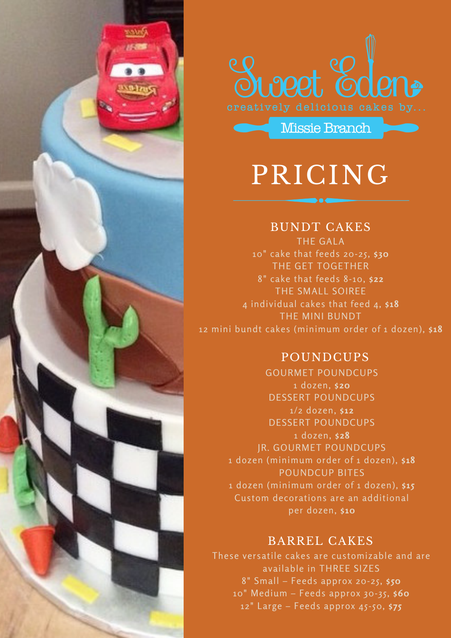



Missie Branch

PRICING

#### BUNDT CAKES

THE GALA 10" cake that feeds 20-25, **\$30** THE GET TOGETHER 8" cake that feeds 8-10, **\$22** THE SMALL SOIREE 4 individual cakes that feed 4, **\$18** THE MINI BUNDT 12 mini bundt cakes (minimum order of 1 dozen), **\$18**

## POUNDCUPS

GOURMET POUNDCUPS 1 dozen, **\$20** DESSERT POUNDCUPS 1/2 dozen, **\$12** DESSERT POUNDCUPS 1 dozen, **\$28** JR. GOURMET POUNDCUPS 1 dozen (minimum order of 1 dozen), **\$18** POUNDCUP BITES 1 dozen (minimum order of 1 dozen), **\$15** Custom decorations are an additional per dozen, **\$10**

#### BARREL CAKES

These versatile cakes are customizable and are available in THREE SIZES 8" Small – Feeds approx 20-25, **\$50** 10" Medium – Feeds approx 30-35, **\$60** 12" Large – Feeds approx 45-50, **\$75**